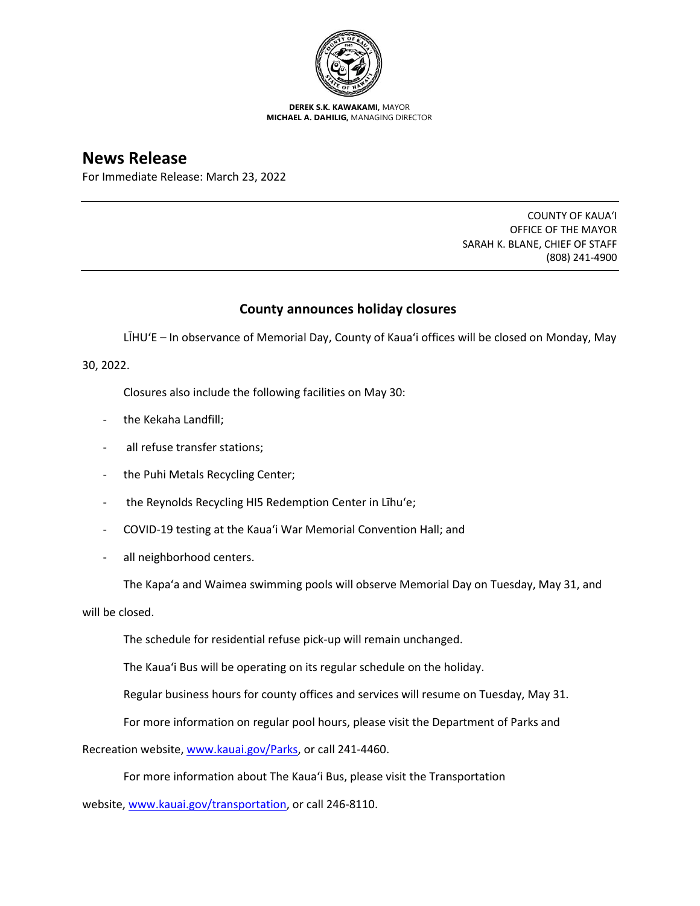

**DEREK S.K. KAWAKAMI,** MAYOR **MICHAEL A. DAHILIG,** MANAGING DIRECTOR

## **News Release**

For Immediate Release: March 23, 2022

COUNTY OF KAUA'I OFFICE OF THE MAYOR SARAH K. BLANE, CHIEF OF STAFF (808) 241-4900

## **County announces holiday closures**

LĪHU'E – In observance of Memorial Day, County of Kaua'i offices will be closed on Monday, May

30, 2022.

Closures also include the following facilities on May 30:

- the Kekaha Landfill;
- all refuse transfer stations;
- the Puhi Metals Recycling Center;
- the Reynolds Recycling HI5 Redemption Center in Līhu'e;
- COVID-19 testing at the Kaua'i War Memorial Convention Hall; and
- all neighborhood centers.

The Kapa'a and Waimea swimming pools will observe Memorial Day on Tuesday, May 31, and

will be closed.

The schedule for residential refuse pick-up will remain unchanged.

The Kaua'i Bus will be operating on its regular schedule on the holiday.

Regular business hours for county offices and services will resume on Tuesday, May 31.

For more information on regular pool hours, please visit the Department of Parks and

Recreation website, [www.kauai.gov/Parks,](http://www.kauai.gov/Parks) or call 241-4460.

For more information about The Kaua'i Bus, please visit the Transportation

website, [www.kauai.gov/transportation,](http://www.kauai.gov/transportation) or call 246-8110.